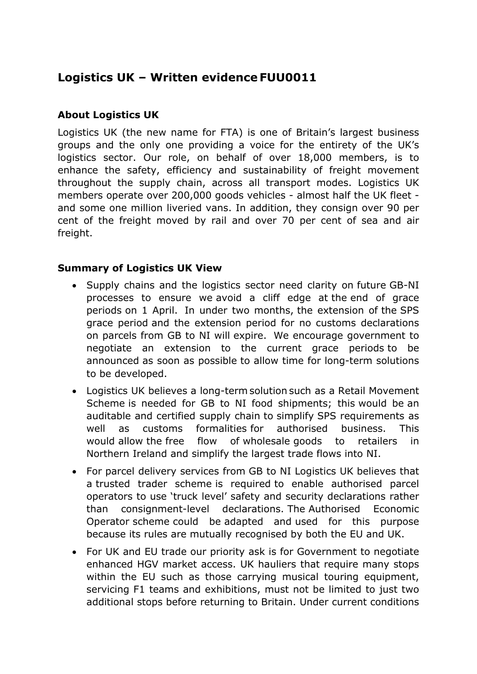# **Logistics UK – Written evidence FUU0011**

## **About Logistics UK**

Logistics UK (the new name for FTA) is one of Britain's largest business groups and the only one providing a voice for the entirety of the UK's logistics sector. Our role, on behalf of over 18,000 members, is to enhance the safety, efficiency and sustainability of freight movement throughout the supply chain, across all transport modes. Logistics UK members operate over 200,000 goods vehicles - almost half the UK fleet and some one million liveried vans. In addition, they consign over 90 per cent of the freight moved by rail and over 70 per cent of sea and air freight.

## **Summary of Logistics UK View**

- Supply chains and the logistics sector need clarity on future GB-NI processes to ensure we avoid a cliff edge at the end of grace periods on 1 April. In under two months, the extension of the SPS grace period and the extension period for no customs declarations on parcels from GB to NI will expire. We encourage government to negotiate an extension to the current grace periods to be announced as soon as possible to allow time for long-term solutions to be developed.
- Logistics UK believes a long-term solution such as a Retail Movement Scheme is needed for GB to NI food shipments; this would be an auditable and certified supply chain to simplify SPS requirements as well as customs formalities for authorised business. This would allow the free flow of wholesale goods to retailers in Northern Ireland and simplify the largest trade flows into NI.
- For parcel delivery services from GB to NI Logistics UK believes that a trusted trader scheme is required to enable authorised parcel operators to use 'truck level' safety and security declarations rather than consignment-level declarations. The Authorised Economic Operator scheme could be adapted and used for this purpose because its rules are mutually recognised by both the EU and UK.
- For UK and EU trade our priority ask is for Government to negotiate enhanced HGV market access. UK hauliers that require many stops within the EU such as those carrying musical touring equipment, servicing F1 teams and exhibitions, must not be limited to just two additional stops before returning to Britain. Under current conditions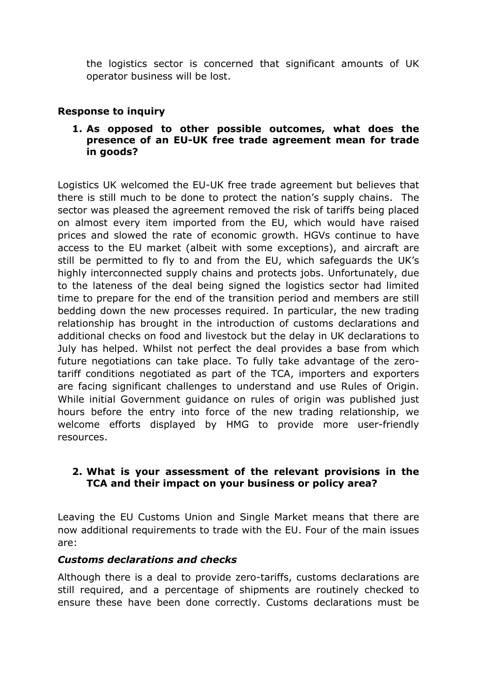the logistics sector is concerned that significant amounts of UK operator business will be lost.

#### **Response to inquiry**

#### **1. As opposed to other possible outcomes, what does the presence of an EU-UK free trade agreement mean for trade in goods?**

Logistics UK welcomed the EU-UK free trade agreement but believes that there is still much to be done to protect the nation's supply chains. The sector was pleased the agreement removed the risk of tariffs being placed on almost every item imported from the EU, which would have raised prices and slowed the rate of economic growth. HGVs continue to have access to the EU market (albeit with some exceptions), and aircraft are still be permitted to fly to and from the EU, which safeguards the UK's highly interconnected supply chains and protects jobs. Unfortunately, due to the lateness of the deal being signed the logistics sector had limited time to prepare for the end of the transition period and members are still bedding down the new processes required. In particular, the new trading relationship has brought in the introduction of customs declarations and additional checks on food and livestock but the delay in UK declarations to July has helped. Whilst not perfect the deal provides a base from which future negotiations can take place. To fully take advantage of the zerotariff conditions negotiated as part of the TCA, importers and exporters are facing significant challenges to understand and use Rules of Origin. While initial Government guidance on rules of origin was published just hours before the entry into force of the new trading relationship, we welcome efforts displayed by HMG to provide more user-friendly resources.

#### **2. What is your assessment of the relevant provisions in the TCA and their impact on your business or policy area?**

Leaving the EU Customs Union and Single Market means that there are now additional requirements to trade with the EU. Four of the main issues are:

#### *Customs declarations and checks*

Although there is a deal to provide zero-tariffs, customs declarations are still required, and a percentage of shipments are routinely checked to ensure these have been done correctly. Customs declarations must be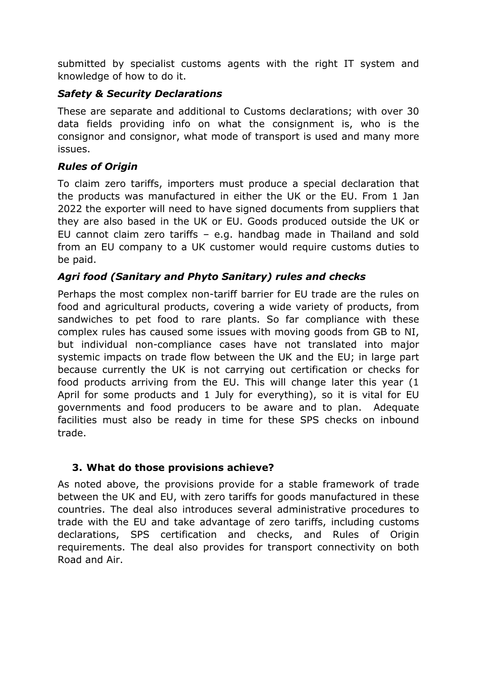submitted by specialist customs agents with the right IT system and knowledge of how to do it.

## *Safety & Security Declarations*

These are separate and additional to Customs declarations; with over 30 data fields providing info on what the consignment is, who is the consignor and consignor, what mode of transport is used and many more issues.

## *Rules of Origin*

To claim zero tariffs, importers must produce a special declaration that the products was manufactured in either the UK or the EU. From 1 Jan 2022 the exporter will need to have signed documents from suppliers that they are also based in the UK or EU. Goods produced outside the UK or EU cannot claim zero tariffs – e.g. handbag made in Thailand and sold from an EU company to a UK customer would require customs duties to be paid.

# *Agri food (Sanitary and Phyto Sanitary) rules and checks*

Perhaps the most complex non-tariff barrier for EU trade are the rules on food and agricultural products, covering a wide variety of products, from sandwiches to pet food to rare plants. So far compliance with these complex rules has caused some issues with moving goods from GB to NI, but individual non-compliance cases have not translated into major systemic impacts on trade flow between the UK and the EU; in large part because currently the UK is not carrying out certification or checks for food products arriving from the EU. This will change later this year (1 April for some products and 1 July for everything), so it is vital for EU governments and food producers to be aware and to plan. Adequate facilities must also be ready in time for these SPS checks on inbound trade.

## **3. What do those provisions achieve?**

As noted above, the provisions provide for a stable framework of trade between the UK and EU, with zero tariffs for goods manufactured in these countries. The deal also introduces several administrative procedures to trade with the EU and take advantage of zero tariffs, including customs declarations, SPS certification and checks, and Rules of Origin requirements. The deal also provides for transport connectivity on both Road and Air.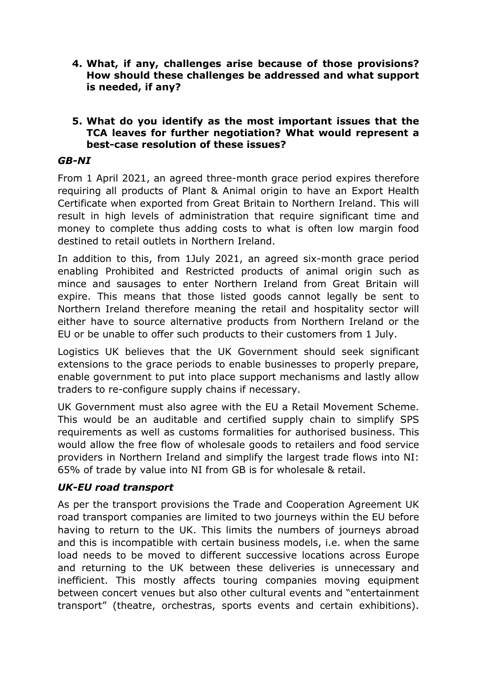- **4. What, if any, challenges arise because of those provisions? How should these challenges be addressed and what support is needed, if any?**
- **5. What do you identify as the most important issues that the TCA leaves for further negotiation? What would represent a best-case resolution of these issues?**

#### *GB-NI*

From 1 April 2021, an agreed three-month grace period expires therefore requiring all products of Plant & Animal origin to have an Export Health Certificate when exported from Great Britain to Northern Ireland. This will result in high levels of administration that require significant time and money to complete thus adding costs to what is often low margin food destined to retail outlets in Northern Ireland.

In addition to this, from 1July 2021, an agreed six-month grace period enabling Prohibited and Restricted products of animal origin such as mince and sausages to enter Northern Ireland from Great Britain will expire. This means that those listed goods cannot legally be sent to Northern Ireland therefore meaning the retail and hospitality sector will either have to source alternative products from Northern Ireland or the EU or be unable to offer such products to their customers from 1 July.

Logistics UK believes that the UK Government should seek significant extensions to the grace periods to enable businesses to properly prepare, enable government to put into place support mechanisms and lastly allow traders to re-configure supply chains if necessary.

UK Government must also agree with the EU a Retail Movement Scheme. This would be an auditable and certified supply chain to simplify SPS requirements as well as customs formalities for authorised business. This would allow the free flow of wholesale goods to retailers and food service providers in Northern Ireland and simplify the largest trade flows into NI: 65% of trade by value into NI from GB is for wholesale & retail. 

#### *UK-EU road transport*

As per the transport provisions the Trade and Cooperation Agreement UK road transport companies are limited to two journeys within the EU before having to return to the UK. This limits the numbers of journeys abroad and this is incompatible with certain business models, i.e. when the same load needs to be moved to different successive locations across Europe and returning to the UK between these deliveries is unnecessary and inefficient. This mostly affects touring companies moving equipment between concert venues but also other cultural events and "entertainment transport" (theatre, orchestras, sports events and certain exhibitions).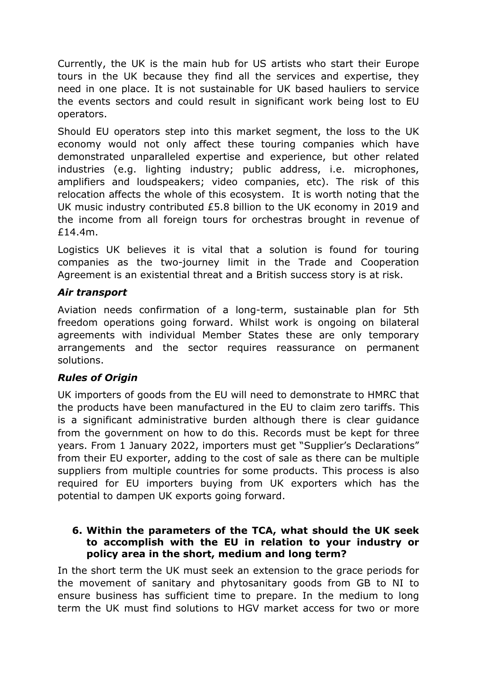Currently, the UK is the main hub for US artists who start their Europe tours in the UK because they find all the services and expertise, they need in one place. It is not sustainable for UK based hauliers to service the events sectors and could result in significant work being lost to EU operators.

Should EU operators step into this market segment, the loss to the UK economy would not only affect these touring companies which have demonstrated unparalleled expertise and experience, but other related industries (e.g. lighting industry; public address, i.e. microphones, amplifiers and loudspeakers; video companies, etc). The risk of this relocation affects the whole of this ecosystem. It is worth noting that the UK music industry contributed £5.8 billion to the UK economy in 2019 and the income from all foreign tours for orchestras brought in revenue of £14.4m.

Logistics UK believes it is vital that a solution is found for touring companies as the two-journey limit in the Trade and Cooperation Agreement is an existential threat and a British success story is at risk.

## *Air transport*

Aviation needs confirmation of a long-term, sustainable plan for 5th freedom operations going forward. Whilst work is ongoing on bilateral agreements with individual Member States these are only temporary arrangements and the sector requires reassurance on permanent solutions.

## *Rules of Origin*

UK importers of goods from the EU will need to demonstrate to HMRC that the products have been manufactured in the EU to claim zero tariffs. This is a significant administrative burden although there is clear guidance from the government on how to do this. Records must be kept for three years. From 1 January 2022, importers must get "Supplier's Declarations" from their EU exporter, adding to the cost of sale as there can be multiple suppliers from multiple countries for some products. This process is also required for EU importers buying from UK exporters which has the potential to dampen UK exports going forward.

#### **6. Within the parameters of the TCA, what should the UK seek to accomplish with the EU in relation to your industry or policy area in the short, medium and long term?**

In the short term the UK must seek an extension to the grace periods for the movement of sanitary and phytosanitary goods from GB to NI to ensure business has sufficient time to prepare. In the medium to long term the UK must find solutions to HGV market access for two or more